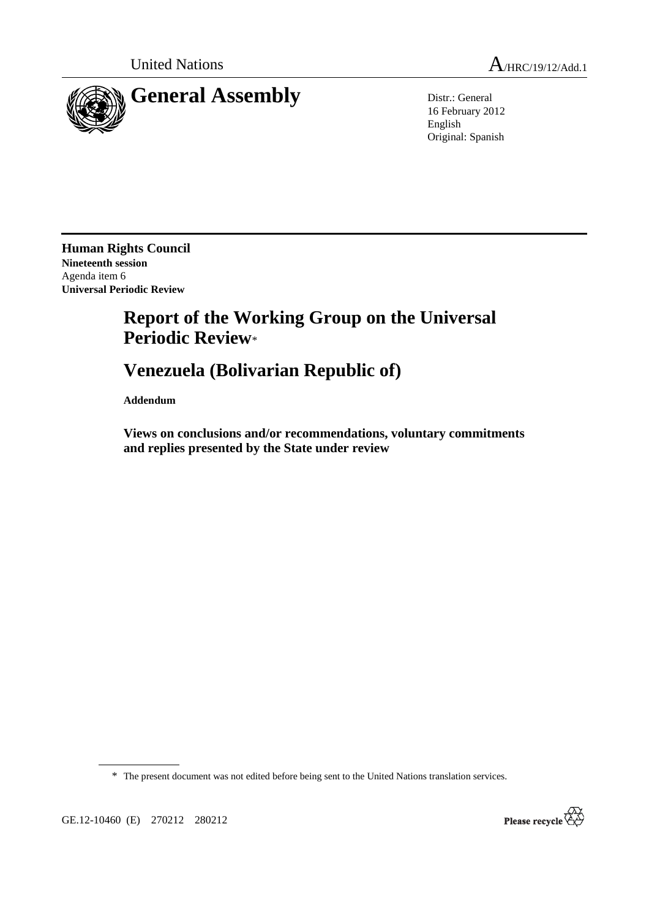

16 February 2012 English Original: Spanish

**Human Rights Council Nineteenth session**  Agenda item 6 **Universal Periodic Review** 

# **Report of the Working Group on the Universal Periodic Review**\*

# **Venezuela (Bolivarian Republic of)**

 **Addendum** 

 **Views on conclusions and/or recommendations, voluntary commitments and replies presented by the State under review** 

\* The present document was not edited before being sent to the United Nations translation services.

GE.12-10460 (E) 270212 280212

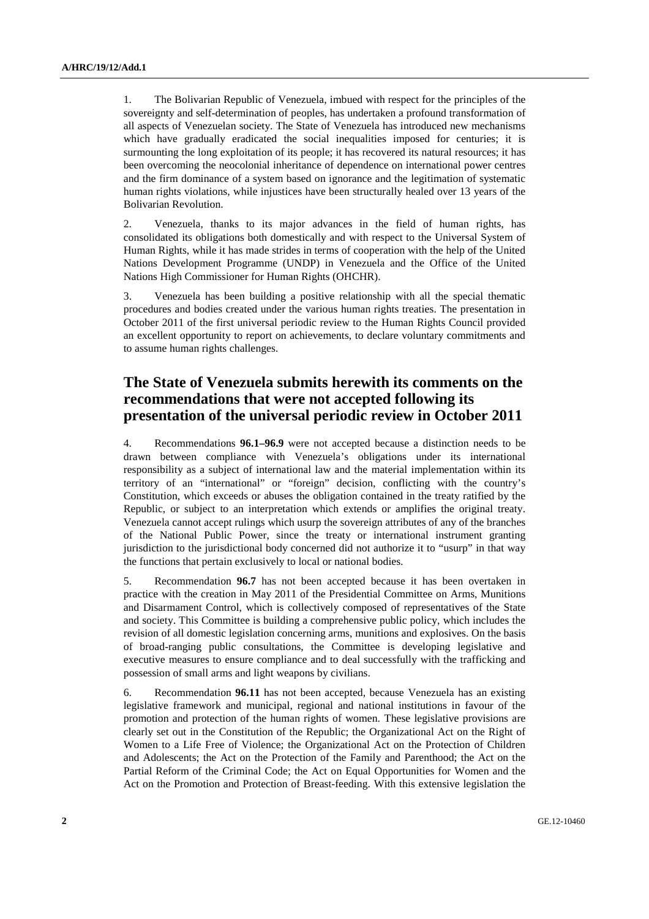1. The Bolivarian Republic of Venezuela, imbued with respect for the principles of the sovereignty and self-determination of peoples, has undertaken a profound transformation of all aspects of Venezuelan society. The State of Venezuela has introduced new mechanisms which have gradually eradicated the social inequalities imposed for centuries; it is surmounting the long exploitation of its people; it has recovered its natural resources; it has been overcoming the neocolonial inheritance of dependence on international power centres and the firm dominance of a system based on ignorance and the legitimation of systematic human rights violations, while injustices have been structurally healed over 13 years of the Bolivarian Revolution.

2. Venezuela, thanks to its major advances in the field of human rights, has consolidated its obligations both domestically and with respect to the Universal System of Human Rights, while it has made strides in terms of cooperation with the help of the United Nations Development Programme (UNDP) in Venezuela and the Office of the United Nations High Commissioner for Human Rights (OHCHR).

3. Venezuela has been building a positive relationship with all the special thematic procedures and bodies created under the various human rights treaties. The presentation in October 2011 of the first universal periodic review to the Human Rights Council provided an excellent opportunity to report on achievements, to declare voluntary commitments and to assume human rights challenges.

## **The State of Venezuela submits herewith its comments on the recommendations that were not accepted following its presentation of the universal periodic review in October 2011**

4. Recommendations **96.1–96.9** were not accepted because a distinction needs to be drawn between compliance with Venezuela's obligations under its international responsibility as a subject of international law and the material implementation within its territory of an "international" or "foreign" decision, conflicting with the country's Constitution, which exceeds or abuses the obligation contained in the treaty ratified by the Republic, or subject to an interpretation which extends or amplifies the original treaty. Venezuela cannot accept rulings which usurp the sovereign attributes of any of the branches of the National Public Power, since the treaty or international instrument granting jurisdiction to the jurisdictional body concerned did not authorize it to "usurp" in that way the functions that pertain exclusively to local or national bodies.

5. Recommendation **96.7** has not been accepted because it has been overtaken in practice with the creation in May 2011 of the Presidential Committee on Arms, Munitions and Disarmament Control, which is collectively composed of representatives of the State and society. This Committee is building a comprehensive public policy, which includes the revision of all domestic legislation concerning arms, munitions and explosives. On the basis of broad-ranging public consultations, the Committee is developing legislative and executive measures to ensure compliance and to deal successfully with the trafficking and possession of small arms and light weapons by civilians.

6. Recommendation **96.11** has not been accepted, because Venezuela has an existing legislative framework and municipal, regional and national institutions in favour of the promotion and protection of the human rights of women. These legislative provisions are clearly set out in the Constitution of the Republic; the Organizational Act on the Right of Women to a Life Free of Violence; the Organizational Act on the Protection of Children and Adolescents; the Act on the Protection of the Family and Parenthood; the Act on the Partial Reform of the Criminal Code; the Act on Equal Opportunities for Women and the Act on the Promotion and Protection of Breast-feeding. With this extensive legislation the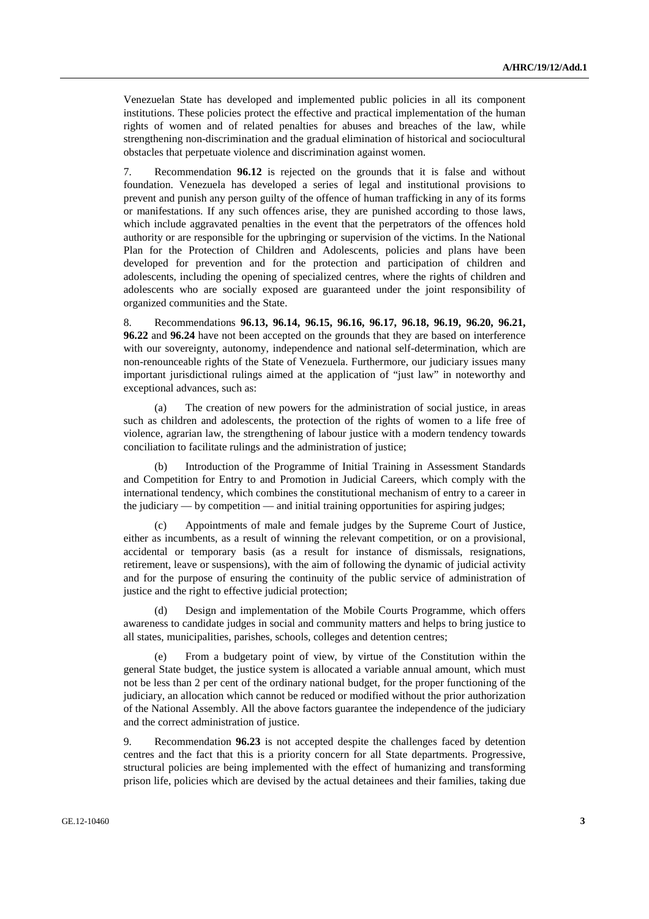Venezuelan State has developed and implemented public policies in all its component institutions. These policies protect the effective and practical implementation of the human rights of women and of related penalties for abuses and breaches of the law, while strengthening non-discrimination and the gradual elimination of historical and sociocultural obstacles that perpetuate violence and discrimination against women.

7. Recommendation **96.12** is rejected on the grounds that it is false and without foundation. Venezuela has developed a series of legal and institutional provisions to prevent and punish any person guilty of the offence of human trafficking in any of its forms or manifestations. If any such offences arise, they are punished according to those laws, which include aggravated penalties in the event that the perpetrators of the offences hold authority or are responsible for the upbringing or supervision of the victims. In the National Plan for the Protection of Children and Adolescents, policies and plans have been developed for prevention and for the protection and participation of children and adolescents, including the opening of specialized centres, where the rights of children and adolescents who are socially exposed are guaranteed under the joint responsibility of organized communities and the State.

8. Recommendations **96.13, 96.14, 96.15, 96.16, 96.17, 96.18, 96.19, 96.20, 96.21, 96.22** and **96.24** have not been accepted on the grounds that they are based on interference with our sovereignty, autonomy, independence and national self-determination, which are non-renounceable rights of the State of Venezuela. Furthermore, our judiciary issues many important jurisdictional rulings aimed at the application of "just law" in noteworthy and exceptional advances, such as:

 (a) The creation of new powers for the administration of social justice, in areas such as children and adolescents, the protection of the rights of women to a life free of violence, agrarian law, the strengthening of labour justice with a modern tendency towards conciliation to facilitate rulings and the administration of justice;

 (b) Introduction of the Programme of Initial Training in Assessment Standards and Competition for Entry to and Promotion in Judicial Careers, which comply with the international tendency, which combines the constitutional mechanism of entry to a career in the judiciary — by competition — and initial training opportunities for aspiring judges;

 (c) Appointments of male and female judges by the Supreme Court of Justice, either as incumbents, as a result of winning the relevant competition, or on a provisional, accidental or temporary basis (as a result for instance of dismissals, resignations, retirement, leave or suspensions), with the aim of following the dynamic of judicial activity and for the purpose of ensuring the continuity of the public service of administration of justice and the right to effective judicial protection;

 (d) Design and implementation of the Mobile Courts Programme, which offers awareness to candidate judges in social and community matters and helps to bring justice to all states, municipalities, parishes, schools, colleges and detention centres;

 (e) From a budgetary point of view, by virtue of the Constitution within the general State budget, the justice system is allocated a variable annual amount, which must not be less than 2 per cent of the ordinary national budget, for the proper functioning of the judiciary, an allocation which cannot be reduced or modified without the prior authorization of the National Assembly. All the above factors guarantee the independence of the judiciary and the correct administration of justice.

9. Recommendation **96.23** is not accepted despite the challenges faced by detention centres and the fact that this is a priority concern for all State departments. Progressive, structural policies are being implemented with the effect of humanizing and transforming prison life, policies which are devised by the actual detainees and their families, taking due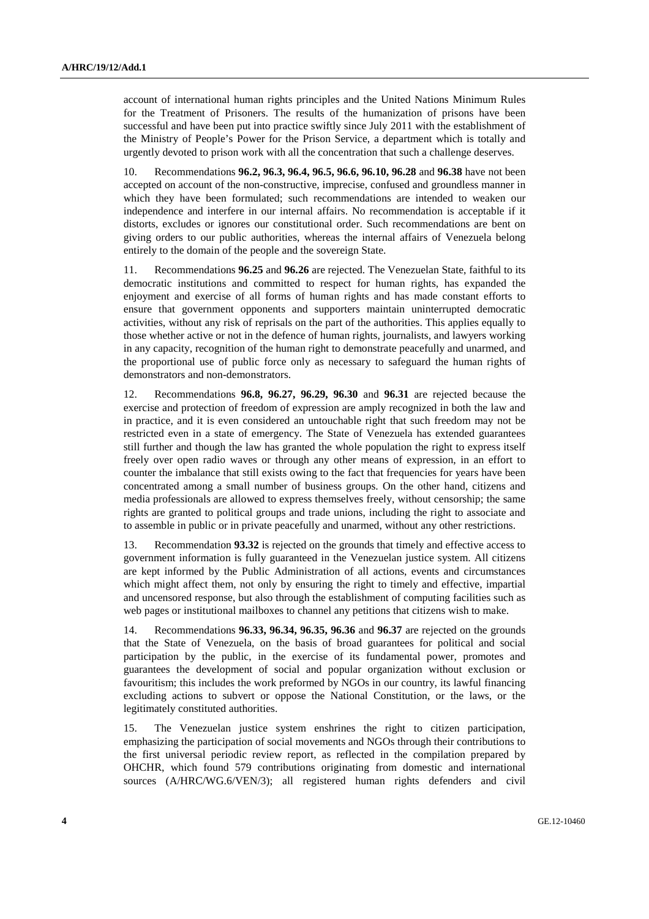account of international human rights principles and the United Nations Minimum Rules for the Treatment of Prisoners. The results of the humanization of prisons have been successful and have been put into practice swiftly since July 2011 with the establishment of the Ministry of People's Power for the Prison Service, a department which is totally and urgently devoted to prison work with all the concentration that such a challenge deserves.

10. Recommendations **96.2, 96.3, 96.4, 96.5, 96.6, 96.10, 96.28** and **96.38** have not been accepted on account of the non-constructive, imprecise, confused and groundless manner in which they have been formulated; such recommendations are intended to weaken our independence and interfere in our internal affairs. No recommendation is acceptable if it distorts, excludes or ignores our constitutional order. Such recommendations are bent on giving orders to our public authorities, whereas the internal affairs of Venezuela belong entirely to the domain of the people and the sovereign State.

11. Recommendations **96.25** and **96.26** are rejected. The Venezuelan State, faithful to its democratic institutions and committed to respect for human rights, has expanded the enjoyment and exercise of all forms of human rights and has made constant efforts to ensure that government opponents and supporters maintain uninterrupted democratic activities, without any risk of reprisals on the part of the authorities. This applies equally to those whether active or not in the defence of human rights, journalists, and lawyers working in any capacity, recognition of the human right to demonstrate peacefully and unarmed, and the proportional use of public force only as necessary to safeguard the human rights of demonstrators and non-demonstrators.

12. Recommendations **96.8, 96.27, 96.29, 96.30** and **96.31** are rejected because the exercise and protection of freedom of expression are amply recognized in both the law and in practice, and it is even considered an untouchable right that such freedom may not be restricted even in a state of emergency. The State of Venezuela has extended guarantees still further and though the law has granted the whole population the right to express itself freely over open radio waves or through any other means of expression, in an effort to counter the imbalance that still exists owing to the fact that frequencies for years have been concentrated among a small number of business groups. On the other hand, citizens and media professionals are allowed to express themselves freely, without censorship; the same rights are granted to political groups and trade unions, including the right to associate and to assemble in public or in private peacefully and unarmed, without any other restrictions.

13. Recommendation **93.32** is rejected on the grounds that timely and effective access to government information is fully guaranteed in the Venezuelan justice system. All citizens are kept informed by the Public Administration of all actions, events and circumstances which might affect them, not only by ensuring the right to timely and effective, impartial and uncensored response, but also through the establishment of computing facilities such as web pages or institutional mailboxes to channel any petitions that citizens wish to make.

14. Recommendations **96.33, 96.34, 96.35, 96.36** and **96.37** are rejected on the grounds that the State of Venezuela, on the basis of broad guarantees for political and social participation by the public, in the exercise of its fundamental power, promotes and guarantees the development of social and popular organization without exclusion or favouritism; this includes the work preformed by NGOs in our country, its lawful financing excluding actions to subvert or oppose the National Constitution, or the laws, or the legitimately constituted authorities.

15. The Venezuelan justice system enshrines the right to citizen participation, emphasizing the participation of social movements and NGOs through their contributions to the first universal periodic review report, as reflected in the compilation prepared by OHCHR, which found 579 contributions originating from domestic and international sources (A/HRC/WG.6/VEN/3); all registered human rights defenders and civil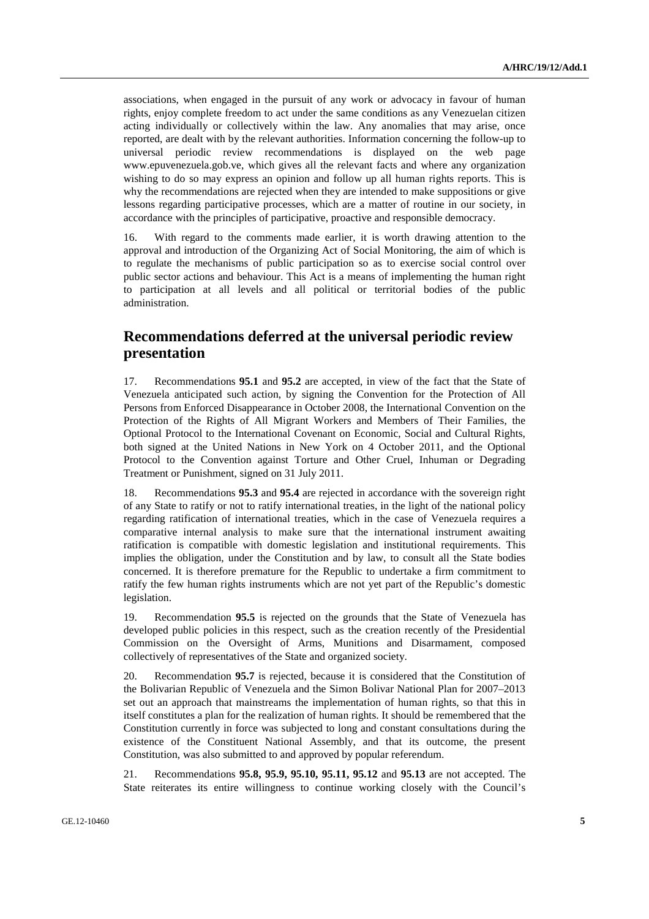associations, when engaged in the pursuit of any work or advocacy in favour of human rights, enjoy complete freedom to act under the same conditions as any Venezuelan citizen acting individually or collectively within the law. Any anomalies that may arise, once reported, are dealt with by the relevant authorities. Information concerning the follow-up to universal periodic review recommendations is displayed on the web page www.epuvenezuela.gob.ve, which gives all the relevant facts and where any organization wishing to do so may express an opinion and follow up all human rights reports. This is why the recommendations are rejected when they are intended to make suppositions or give lessons regarding participative processes, which are a matter of routine in our society, in accordance with the principles of participative, proactive and responsible democracy.

16. With regard to the comments made earlier, it is worth drawing attention to the approval and introduction of the Organizing Act of Social Monitoring, the aim of which is to regulate the mechanisms of public participation so as to exercise social control over public sector actions and behaviour. This Act is a means of implementing the human right to participation at all levels and all political or territorial bodies of the public administration.

### **Recommendations deferred at the universal periodic review presentation**

17. Recommendations **95.1** and **95.2** are accepted, in view of the fact that the State of Venezuela anticipated such action, by signing the Convention for the Protection of All Persons from Enforced Disappearance in October 2008, the International Convention on the Protection of the Rights of All Migrant Workers and Members of Their Families, the Optional Protocol to the International Covenant on Economic, Social and Cultural Rights, both signed at the United Nations in New York on 4 October 2011, and the Optional Protocol to the Convention against Torture and Other Cruel, Inhuman or Degrading Treatment or Punishment, signed on 31 July 2011.

18. Recommendations **95.3** and **95.4** are rejected in accordance with the sovereign right of any State to ratify or not to ratify international treaties, in the light of the national policy regarding ratification of international treaties, which in the case of Venezuela requires a comparative internal analysis to make sure that the international instrument awaiting ratification is compatible with domestic legislation and institutional requirements. This implies the obligation, under the Constitution and by law, to consult all the State bodies concerned. It is therefore premature for the Republic to undertake a firm commitment to ratify the few human rights instruments which are not yet part of the Republic's domestic legislation.

19. Recommendation **95.5** is rejected on the grounds that the State of Venezuela has developed public policies in this respect, such as the creation recently of the Presidential Commission on the Oversight of Arms, Munitions and Disarmament, composed collectively of representatives of the State and organized society.

20. Recommendation **95.7** is rejected, because it is considered that the Constitution of the Bolivarian Republic of Venezuela and the Simon Bolivar National Plan for 2007–2013 set out an approach that mainstreams the implementation of human rights, so that this in itself constitutes a plan for the realization of human rights. It should be remembered that the Constitution currently in force was subjected to long and constant consultations during the existence of the Constituent National Assembly, and that its outcome, the present Constitution, was also submitted to and approved by popular referendum.

21. Recommendations **95.8, 95.9, 95.10, 95.11, 95.12** and **95.13** are not accepted. The State reiterates its entire willingness to continue working closely with the Council's